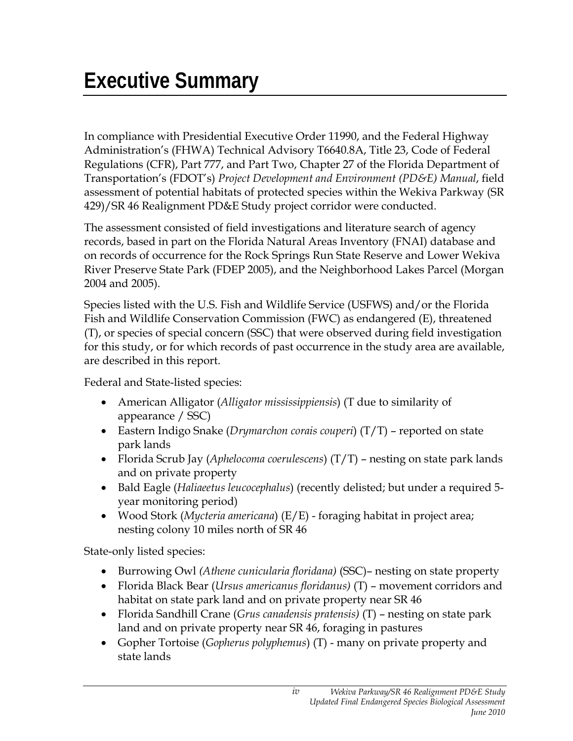In compliance with Presidential Executive Order 11990, and the Federal Highway Administration's (FHWA) Technical Advisory T6640.8A, Title 23, Code of Federal Regulations (CFR), Part 777, and Part Two, Chapter 27 of the Florida Department of Transportation's (FDOT's) *Project Development and Environment (PD&E) Manual*, field assessment of potential habitats of protected species within the Wekiva Parkway (SR 429)/SR 46 Realignment PD&E Study project corridor were conducted.

The assessment consisted of field investigations and literature search of agency records, based in part on the Florida Natural Areas Inventory (FNAI) database and on records of occurrence for the Rock Springs Run State Reserve and Lower Wekiva River Preserve State Park (FDEP 2005), and the Neighborhood Lakes Parcel (Morgan 2004 and 2005).

Species listed with the U.S. Fish and Wildlife Service (USFWS) and/or the Florida Fish and Wildlife Conservation Commission (FWC) as endangered (E), threatened (T), or species of special concern (SSC) that were observed during field investigation for this study, or for which records of past occurrence in the study area are available, are described in this report.

Federal and State-listed species:

- American Alligator (*Alligator mississippiensis*) (T due to similarity of appearance / SSC)
- Eastern Indigo Snake (*Drymarchon corais couperi*) (T/T) reported on state park lands
- Florida Scrub Jay (*Aphelocoma coerulescens*) (T/T) nesting on state park lands and on private property
- Bald Eagle (*Haliaeetus leucocephalus*) (recently delisted; but under a required 5 year monitoring period)
- Wood Stork (*Mycteria americana*) (E/E) foraging habitat in project area; nesting colony 10 miles north of SR 46

State-only listed species:

- Burrowing Owl *(Athene cunicularia floridana)* (SSC)– nesting on state property
- Florida Black Bear (*Ursus americanus floridanus)* (T) movement corridors and habitat on state park land and on private property near SR 46
- Florida Sandhill Crane (*Grus canadensis pratensis)* (T) nesting on state park land and on private property near SR 46, foraging in pastures
- Gopher Tortoise (*Gopherus polyphemus*) (T) many on private property and state lands

*iv*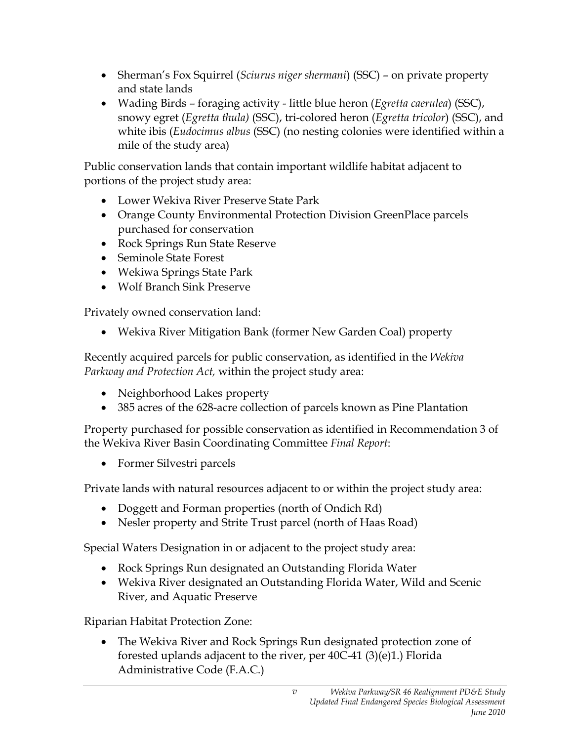- Sherman's Fox Squirrel (*Sciurus niger shermani*) (SSC) on private property and state lands
- Wading Birds foraging activity little blue heron (*Egretta caerulea*) (SSC), snowy egret (*Egretta thula)* (SSC), tri-colored heron (*Egretta tricolor*) (SSC), and white ibis (*Eudocimus albus* (SSC) (no nesting colonies were identified within a mile of the study area)

Public conservation lands that contain important wildlife habitat adjacent to portions of the project study area:

- Lower Wekiva River Preserve State Park
- Orange County Environmental Protection Division GreenPlace parcels purchased for conservation
- Rock Springs Run State Reserve
- Seminole State Forest
- Wekiwa Springs State Park
- Wolf Branch Sink Preserve

Privately owned conservation land:

• Wekiva River Mitigation Bank (former New Garden Coal) property

Recently acquired parcels for public conservation, as identified in the *Wekiva Parkway and Protection Act,* within the project study area:

- Neighborhood Lakes property
- 385 acres of the 628-acre collection of parcels known as Pine Plantation

Property purchased for possible conservation as identified in Recommendation 3 of the Wekiva River Basin Coordinating Committee *Final Report*:

• Former Silvestri parcels

Private lands with natural resources adjacent to or within the project study area:

- Doggett and Forman properties (north of Ondich Rd)
- Nesler property and Strite Trust parcel (north of Haas Road)

Special Waters Designation in or adjacent to the project study area:

- Rock Springs Run designated an Outstanding Florida Water
- Wekiva River designated an Outstanding Florida Water, Wild and Scenic River, and Aquatic Preserve

Riparian Habitat Protection Zone:

• The Wekiva River and Rock Springs Run designated protection zone of forested uplands adjacent to the river, per 40C-41 (3)(e)1.) Florida Administrative Code (F.A.C.)

*v*